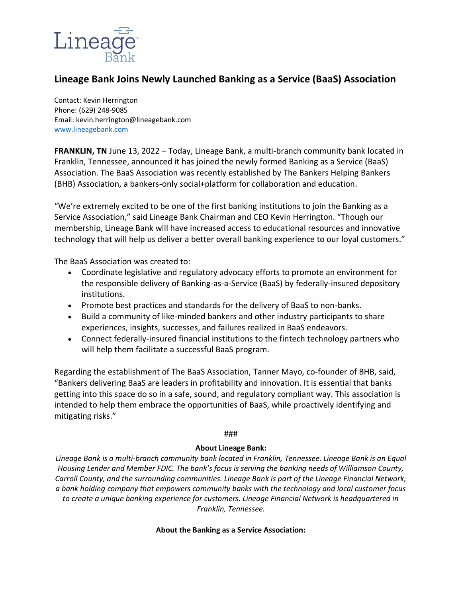

## **Lineage Bank Joins Newly Launched Banking as a Service (BaaS) Association**

Contact: Kevin Herrington Phone[: \(629\) 248-9085](https://www.google.com/search?q=lineage+bank+franklin+tn&oq=lineage+bank+fran&aqs=chrome.0.0j69i57j69i60.3453j0j7&sourceid=chrome&ie=UTF-8) Email: kevin.herrington@lineagebank.com [www.lineagebank.com](http://www.lineagebank.com/)

**FRANKLIN, TN** June 13, 2022 – Today, Lineage Bank, a multi-branch community bank located in Franklin, Tennessee, announced it has joined the newly formed Banking as a Service (BaaS) Association. The BaaS Association was recently established by The Bankers Helping Bankers (BHB) Association, a bankers-only social+platform for collaboration and education.

"We're extremely excited to be one of the first banking institutions to join the Banking as a Service Association," said Lineage Bank Chairman and CEO Kevin Herrington. "Though our membership, Lineage Bank will have increased access to educational resources and innovative technology that will help us deliver a better overall banking experience to our loyal customers."

The BaaS Association was created to:

- Coordinate legislative and regulatory advocacy efforts to promote an environment for the responsible delivery of Banking-as-a-Service (BaaS) by federally-insured depository institutions.
- Promote best practices and standards for the delivery of BaaS to non-banks.
- Build a community of like-minded bankers and other industry participants to share experiences, insights, successes, and failures realized in BaaS endeavors.
- Connect federally-insured financial institutions to the fintech technology partners who will help them facilitate a successful BaaS program.

Regarding the establishment of The BaaS Association, Tanner Mayo, co-founder of BHB, said, "Bankers delivering BaaS are leaders in profitability and innovation. It is essential that banks getting into this space do so in a safe, sound, and regulatory compliant way. This association is intended to help them embrace the opportunities of BaaS, while proactively identifying and mitigating risks."

## ###

## **About Lineage Bank:**

*Lineage Bank is a multi-branch community bank located in Franklin, Tennessee. Lineage Bank is an Equal Housing Lender and Member FDIC. The bank's focus is serving the banking needs of Williamson County, Carroll County, and the surrounding communities. Lineage Bank is part of the Lineage Financial Network, a bank holding company that empowers community banks with the technology and local customer focus to create a unique banking experience for customers. Lineage Financial Network is headquartered in Franklin, Tennessee.*

## **About the Banking as a Service Association:**